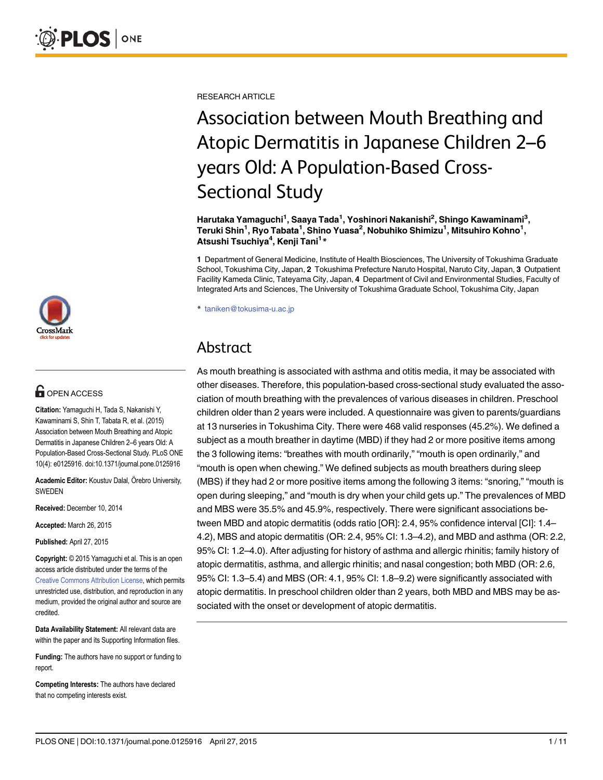

## **G** OPEN ACCESS

Citation: Yamaguchi H, Tada S, Nakanishi Y, Kawaminami S, Shin T, Tabata R, et al. (2015) Association between Mouth Breathing and Atopic Dermatitis in Japanese Children 2–6 years Old: A Population-Based Cross-Sectional Study. PLoS ONE 10(4): e0125916. doi:10.1371/journal.pone.0125916

Academic Editor: Koustuv Dalal, Örebro University, SWEDEN

Received: December 10, 2014

Accepted: March 26, 2015

Published: April 27, 2015

Copyright: © 2015 Yamaguchi et al. This is an open access article distributed under the terms of the [Creative Commons Attribution License,](http://creativecommons.org/licenses/by/4.0/) which permits unrestricted use, distribution, and reproduction in any medium, provided the original author and source are credited.

Data Availability Statement: All relevant data are within the paper and its Supporting Information files.

Funding: The authors have no support or funding to report.

Competing Interests: The authors have declared that no competing interests exist.

RESEARCH ARTICLE

# Association between Mouth Breathing and Atopic Dermatitis in Japanese Children 2–6 years Old: A Population-Based Cross-Sectional Study

Harutaka Yamaguchi<sup>1</sup>, Saaya Tada<sup>1</sup>, Yoshinori Nakanishi<sup>2</sup>, Shingo Kawaminami<sup>3</sup>, Teruki Shin $^1$ , Ryo Tabata $^1$ , Shino Yuasa $^2$ , Nobuhiko Shimizu $^1$ , Mitsuhiro Kohno $^1$ , Atsushi Tsuchiya<sup>4</sup>, Kenji Tani<sup>1</sup>\*

1 Department of General Medicine, Institute of Health Biosciences, The University of Tokushima Graduate School, Tokushima City, Japan, 2 Tokushima Prefecture Naruto Hospital, Naruto City, Japan, 3 Outpatient Facility Kameda Clinic, Tateyama City, Japan, 4 Department of Civil and Environmental Studies, Faculty of Integrated Arts and Sciences, The University of Tokushima Graduate School, Tokushima City, Japan

\* taniken@tokusima-u.ac.jp

## Abstract

As mouth breathing is associated with asthma and otitis media, it may be associated with other diseases. Therefore, this population-based cross-sectional study evaluated the association of mouth breathing with the prevalences of various diseases in children. Preschool children older than 2 years were included. A questionnaire was given to parents/guardians at 13 nurseries in Tokushima City. There were 468 valid responses (45.2%). We defined a subject as a mouth breather in daytime (MBD) if they had 2 or more positive items among the 3 following items: "breathes with mouth ordinarily," "mouth is open ordinarily," and "mouth is open when chewing." We defined subjects as mouth breathers during sleep (MBS) if they had 2 or more positive items among the following 3 items: "snoring," "mouth is open during sleeping," and "mouth is dry when your child gets up." The prevalences of MBD and MBS were 35.5% and 45.9%, respectively. There were significant associations between MBD and atopic dermatitis (odds ratio [OR]: 2.4, 95% confidence interval [CI]: 1.4– 4.2), MBS and atopic dermatitis (OR: 2.4, 95% CI: 1.3–4.2), and MBD and asthma (OR: 2.2, 95% CI: 1.2–4.0). After adjusting for history of asthma and allergic rhinitis; family history of atopic dermatitis, asthma, and allergic rhinitis; and nasal congestion; both MBD (OR: 2.6, 95% CI: 1.3–5.4) and MBS (OR: 4.1, 95% CI: 1.8–9.2) were significantly associated with atopic dermatitis. In preschool children older than 2 years, both MBD and MBS may be associated with the onset or development of atopic dermatitis.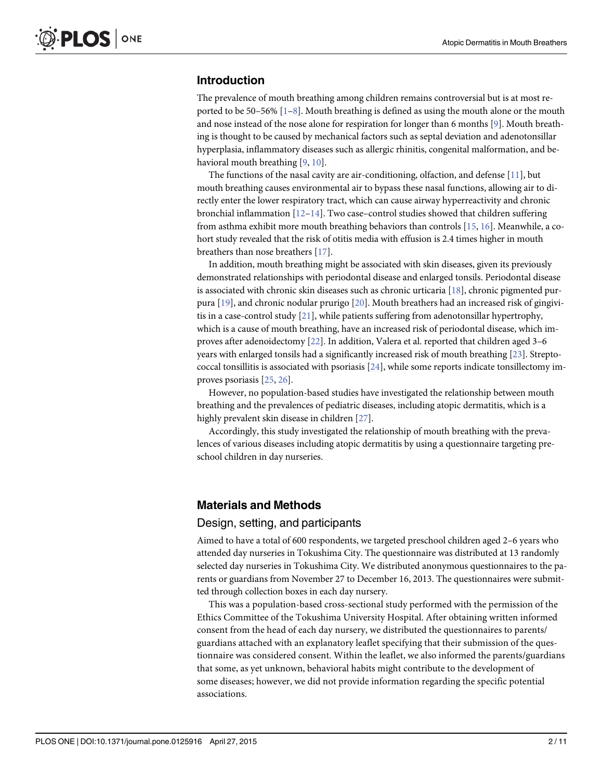## <span id="page-1-0"></span>Introduction

The prevalence of mouth breathing among children remains controversial but is at most reported to be 50–56%  $[1-8]$  $[1-8]$  $[1-8]$  $[1-8]$  $[1-8]$ . Mouth breathing is defined as using the mouth alone or the mouth and nose instead of the nose alone for respiration for longer than 6 months  $[9]$  $[9]$ . Mouth breathing is thought to be caused by mechanical factors such as septal deviation and adenotonsillar hyperplasia, inflammatory diseases such as allergic rhinitis, congenital malformation, and behavioral mouth breathing  $[9, 10]$  $[9, 10]$  $[9, 10]$  $[9, 10]$ .

The functions of the nasal cavity are air-conditioning, olfaction, and defense [\[11](#page-8-0)], but mouth breathing causes environmental air to bypass these nasal functions, allowing air to directly enter the lower respiratory tract, which can cause airway hyperreactivity and chronic bronchial inflammation  $[12-14]$  $[12-14]$  $[12-14]$ . Two case-control studies showed that children suffering from asthma exhibit more mouth breathing behaviors than controls [[15,](#page-8-0) [16\]](#page-8-0). Meanwhile, a cohort study revealed that the risk of otitis media with effusion is 2.4 times higher in mouth breathers than nose breathers [[17](#page-8-0)].

In addition, mouth breathing might be associated with skin diseases, given its previously demonstrated relationships with periodontal disease and enlarged tonsils. Periodontal disease is associated with chronic skin diseases such as chronic urticaria  $[18]$  $[18]$ , chronic pigmented purpura [\[19\]](#page-8-0), and chronic nodular prurigo [\[20](#page-8-0)]. Mouth breathers had an increased risk of gingivitis in a case-control study [\[21](#page-8-0)], while patients suffering from adenotonsillar hypertrophy, which is a cause of mouth breathing, have an increased risk of periodontal disease, which improves after adenoidectomy [[22](#page-9-0)]. In addition, Valera et al. reported that children aged 3–6 years with enlarged tonsils had a significantly increased risk of mouth breathing [[23](#page-9-0)]. Streptococcal tonsillitis is associated with psoriasis  $[24]$ , while some reports indicate tonsillectomy improves psoriasis [\[25](#page-9-0), [26](#page-9-0)].

However, no population-based studies have investigated the relationship between mouth breathing and the prevalences of pediatric diseases, including atopic dermatitis, which is a highly prevalent skin disease in children [\[27\]](#page-9-0).

Accordingly, this study investigated the relationship of mouth breathing with the prevalences of various diseases including atopic dermatitis by using a questionnaire targeting preschool children in day nurseries.

## Materials and Methods

### Design, setting, and participants

Aimed to have a total of 600 respondents, we targeted preschool children aged 2–6 years who attended day nurseries in Tokushima City. The questionnaire was distributed at 13 randomly selected day nurseries in Tokushima City. We distributed anonymous questionnaires to the parents or guardians from November 27 to December 16, 2013. The questionnaires were submitted through collection boxes in each day nursery.

This was a population-based cross-sectional study performed with the permission of the Ethics Committee of the Tokushima University Hospital. After obtaining written informed consent from the head of each day nursery, we distributed the questionnaires to parents/ guardians attached with an explanatory leaflet specifying that their submission of the questionnaire was considered consent. Within the leaflet, we also informed the parents/guardians that some, as yet unknown, behavioral habits might contribute to the development of some diseases; however, we did not provide information regarding the specific potential associations.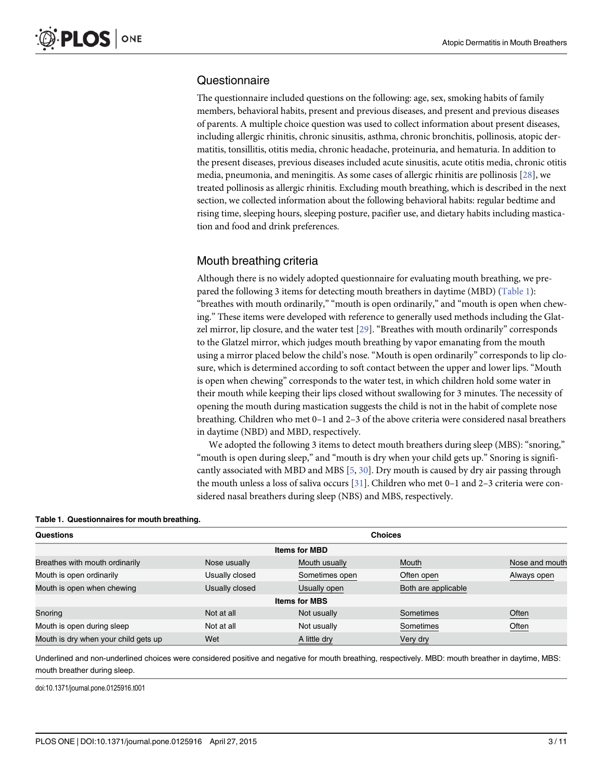## <span id="page-2-0"></span>**Questionnaire**

The questionnaire included questions on the following: age, sex, smoking habits of family members, behavioral habits, present and previous diseases, and present and previous diseases of parents. A multiple choice question was used to collect information about present diseases, including allergic rhinitis, chronic sinusitis, asthma, chronic bronchitis, pollinosis, atopic dermatitis, tonsillitis, otitis media, chronic headache, proteinuria, and hematuria. In addition to the present diseases, previous diseases included acute sinusitis, acute otitis media, chronic otitis media, pneumonia, and meningitis. As some cases of allergic rhinitis are pollinosis [[28\]](#page-9-0), we treated pollinosis as allergic rhinitis. Excluding mouth breathing, which is described in the next section, we collected information about the following behavioral habits: regular bedtime and rising time, sleeping hours, sleeping posture, pacifier use, and dietary habits including mastication and food and drink preferences.

## Mouth breathing criteria

Although there is no widely adopted questionnaire for evaluating mouth breathing, we prepared the following 3 items for detecting mouth breathers in daytime (MBD) (Table 1): "breathes with mouth ordinarily," "mouth is open ordinarily," and "mouth is open when chewing." These items were developed with reference to generally used methods including the Glatzel mirror, lip closure, and the water test [\[29\]](#page-9-0). "Breathes with mouth ordinarily" corresponds to the Glatzel mirror, which judges mouth breathing by vapor emanating from the mouth using a mirror placed below the child's nose. "Mouth is open ordinarily" corresponds to lip closure, which is determined according to soft contact between the upper and lower lips. "Mouth is open when chewing" corresponds to the water test, in which children hold some water in their mouth while keeping their lips closed without swallowing for 3 minutes. The necessity of opening the mouth during mastication suggests the child is not in the habit of complete nose breathing. Children who met 0–1 and 2–3 of the above criteria were considered nasal breathers in daytime (NBD) and MBD, respectively.

We adopted the following 3 items to detect mouth breathers during sleep (MBS): "snoring," "mouth is open during sleep," and "mouth is dry when your child gets up." Snoring is significantly associated with MBD and MBS  $[5, 30]$  $[5, 30]$  $[5, 30]$ . Dry mouth is caused by dry air passing through the mouth unless a loss of saliva occurs [[31\]](#page-9-0). Children who met 0–1 and 2–3 criteria were considered nasal breathers during sleep (NBS) and MBS, respectively.

| <b>Questions</b>                     |                      | <b>Choices</b> |                     |                |  |  |  |  |  |  |
|--------------------------------------|----------------------|----------------|---------------------|----------------|--|--|--|--|--|--|
| <b>Items for MBD</b>                 |                      |                |                     |                |  |  |  |  |  |  |
| Breathes with mouth ordinarily       | Nose usually         | Mouth usually  | Mouth               | Nose and mouth |  |  |  |  |  |  |
| Mouth is open ordinarily             | Usually closed       | Sometimes open | Often open          | Always open    |  |  |  |  |  |  |
| Mouth is open when chewing           | Usually closed       | Usually open   | Both are applicable |                |  |  |  |  |  |  |
|                                      | <b>Items for MBS</b> |                |                     |                |  |  |  |  |  |  |
| Snoring                              | Not at all           | Not usually    | Sometimes           | Often          |  |  |  |  |  |  |
| Mouth is open during sleep           | Not at all           | Not usually    | Sometimes           | Often          |  |  |  |  |  |  |
| Mouth is dry when your child gets up | Wet                  | A little dry   | Very dry            |                |  |  |  |  |  |  |

Underlined and non-underlined choices were considered positive and negative for mouth breathing, respectively. MBD: mouth breather in daytime, MBS: mouth breather during sleep.

doi:10.1371/journal.pone.0125916.t001

| Table 1. Questionnaires for mouth breathing. |  |
|----------------------------------------------|--|
| Questions                                    |  |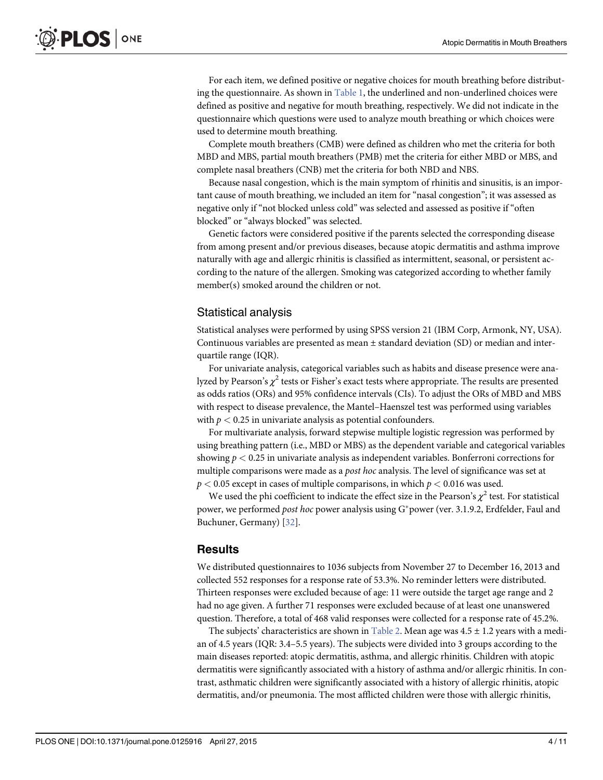<span id="page-3-0"></span>For each item, we defined positive or negative choices for mouth breathing before distributing the questionnaire. As shown in  $Table 1$ , the underlined and non-underlined choices were defined as positive and negative for mouth breathing, respectively. We did not indicate in the questionnaire which questions were used to analyze mouth breathing or which choices were used to determine mouth breathing.

Complete mouth breathers (CMB) were defined as children who met the criteria for both MBD and MBS, partial mouth breathers (PMB) met the criteria for either MBD or MBS, and complete nasal breathers (CNB) met the criteria for both NBD and NBS.

Because nasal congestion, which is the main symptom of rhinitis and sinusitis, is an important cause of mouth breathing, we included an item for "nasal congestion"; it was assessed as negative only if "not blocked unless cold" was selected and assessed as positive if "often blocked" or "always blocked" was selected.

Genetic factors were considered positive if the parents selected the corresponding disease from among present and/or previous diseases, because atopic dermatitis and asthma improve naturally with age and allergic rhinitis is classified as intermittent, seasonal, or persistent according to the nature of the allergen. Smoking was categorized according to whether family member(s) smoked around the children or not.

## Statistical analysis

Statistical analyses were performed by using SPSS version 21 (IBM Corp, Armonk, NY, USA). Continuous variables are presented as mean  $\pm$  standard deviation (SD) or median and interquartile range (IQR).

For univariate analysis, categorical variables such as habits and disease presence were analyzed by Pearson's  $\chi^2$  tests or Fisher's exact tests where appropriate. The results are presented as odds ratios (ORs) and 95% confidence intervals (CIs). To adjust the ORs of MBD and MBS with respect to disease prevalence, the Mantel–Haenszel test was performed using variables with  $p < 0.25$  in univariate analysis as potential confounders.

For multivariate analysis, forward stepwise multiple logistic regression was performed by using breathing pattern (i.e., MBD or MBS) as the dependent variable and categorical variables showing  $p < 0.25$  in univariate analysis as independent variables. Bonferroni corrections for multiple comparisons were made as a *post hoc* analysis. The level of significance was set at  $p < 0.05$  except in cases of multiple comparisons, in which  $p < 0.016$  was used.

We used the phi coefficient to indicate the effect size in the Pearson's  $\chi^2$  test. For statistical power, we performed post hoc power analysis using G\*power (ver. 3.1.9.2, Erdfelder, Faul and Buchuner, Germany) [[32\]](#page-9-0).

## **Results**

We distributed questionnaires to 1036 subjects from November 27 to December 16, 2013 and collected 552 responses for a response rate of 53.3%. No reminder letters were distributed. Thirteen responses were excluded because of age: 11 were outside the target age range and 2 had no age given. A further 71 responses were excluded because of at least one unanswered question. Therefore, a total of 468 valid responses were collected for a response rate of 45.2%.

The subjects' characteristics are shown in [Table 2](#page-4-0). Mean age was  $4.5 \pm 1.2$  years with a median of 4.5 years (IQR: 3.4–5.5 years). The subjects were divided into 3 groups according to the main diseases reported: atopic dermatitis, asthma, and allergic rhinitis. Children with atopic dermatitis were significantly associated with a history of asthma and/or allergic rhinitis. In contrast, asthmatic children were significantly associated with a history of allergic rhinitis, atopic dermatitis, and/or pneumonia. The most afflicted children were those with allergic rhinitis,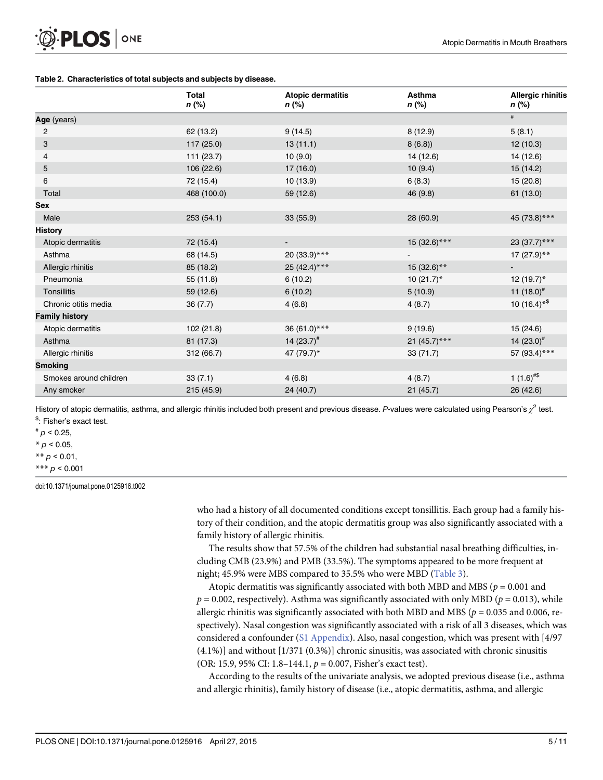#### <span id="page-4-0"></span>[Table 2.](#page-3-0) Characteristics of total subjects and subjects by disease.

|                        | <b>Total</b><br>n (%) | <b>Atopic dermatitis</b><br>n (%) | Asthma<br>n (%) | <b>Allergic rhinitis</b><br>n (%) |
|------------------------|-----------------------|-----------------------------------|-----------------|-----------------------------------|
| Age (years)            |                       |                                   |                 | $\#$                              |
| 2                      | 62 (13.2)             | 9(14.5)                           | 8(12.9)         | 5(8.1)                            |
| 3                      | 117(25.0)             | 13(11.1)                          | 8(6.8)          | 12(10.3)                          |
| 4                      | 111 (23.7)            | 10(9.0)                           | 14 (12.6)       | 14 (12.6)                         |
| 5                      | 106 (22.6)            | 17 (16.0)                         | 10(9.4)         | 15 (14.2)                         |
| 6                      | 72 (15.4)             | 10(13.9)                          | 6(8.3)          | 15(20.8)                          |
| Total                  | 468 (100.0)           | 59 (12.6)                         | 46 (9.8)        | 61 (13.0)                         |
| <b>Sex</b>             |                       |                                   |                 |                                   |
| Male                   | 253(54.1)             | 33(55.9)                          | 28 (60.9)       | 45 (73.8)***                      |
| <b>History</b>         |                       |                                   |                 |                                   |
| Atopic dermatitis      | 72 (15.4)             | ٠                                 | 15 (32.6)***    | 23 (37.7)***                      |
| Asthma                 | 68 (14.5)             | 20 (33.9)***                      | $\blacksquare$  | $17(27.9)$ **                     |
| Allergic rhinitis      | 85 (18.2)             | 25 (42.4)***                      | $15(32.6)$ **   | $\blacksquare$                    |
| Pneumonia              | 55 (11.8)             | 6(10.2)                           | $10(21.7)^*$    | 12 $(19.7)^*$                     |
| Tonsillitis            | 59 (12.6)             | 6(10.2)                           | 5(10.9)         | 11 $(18.0)^{\#}$                  |
| Chronic otitis media   | 36(7.7)               | 4(6.8)                            | 4(8.7)          | 10 $(16.4)$ <sup>*\$</sup>        |
| <b>Family history</b>  |                       |                                   |                 |                                   |
| Atopic dermatitis      | 102 (21.8)            | 36 (61.0)***                      | 9(19.6)         | 15 (24.6)                         |
| Asthma                 | 81 (17.3)             | 14 $(23.7)^{#}$                   | 21 (45.7)***    | 14 $(23.0)^{\#}$                  |
| Allergic rhinitis      | 312 (66.7)            | 47 (79.7)*                        | 33(71.7)        | 57 (93.4)***                      |
| <b>Smoking</b>         |                       |                                   |                 |                                   |
| Smokes around children | 33(7.1)               | 4(6.8)                            | 4(8.7)          | 1 $(1.6)^{#$ \$                   |
| Any smoker             | 215(45.9)             | 24 (40.7)                         | 21(45.7)        | 26 (42.6)                         |

History of atopic dermatitis, asthma, and allergic rhinitis included both present and previous disease. P-values were calculated using Pearson's  $\chi^2$  test. \$ : Fisher's exact test.

 $p$  < 0.25,

 $* p < 0.05$ ,

\*\*  $p$  < 0.01,

\*\*\*  $p < 0.001$ 

doi:10.1371/journal.pone.0125916.t002

who had a history of all documented conditions except tonsillitis. Each group had a family history of their condition, and the atopic dermatitis group was also significantly associated with a family history of allergic rhinitis.

The results show that 57.5% of the children had substantial nasal breathing difficulties, including CMB (23.9%) and PMB (33.5%). The symptoms appeared to be more frequent at night; 45.9% were MBS compared to 35.5% who were MBD ([Table 3\)](#page-5-0).

Atopic dermatitis was significantly associated with both MBD and MBS ( $p = 0.001$  and  $p = 0.002$ , respectively). Asthma was significantly associated with only MBD ( $p = 0.013$ ), while allergic rhinitis was significantly associated with both MBD and MBS ( $p = 0.035$  and 0.006, respectively). Nasal congestion was significantly associated with a risk of all 3 diseases, which was considered a confounder ([S1 Appendix\)](#page-7-0). Also, nasal congestion, which was present with [4/97 (4.1%)] and without [1/371 (0.3%)] chronic sinusitis, was associated with chronic sinusitis (OR: 15.9, 95% CI: 1.8–144.1,  $p = 0.007$ , Fisher's exact test).

According to the results of the univariate analysis, we adopted previous disease (i.e., asthma and allergic rhinitis), family history of disease (i.e., atopic dermatitis, asthma, and allergic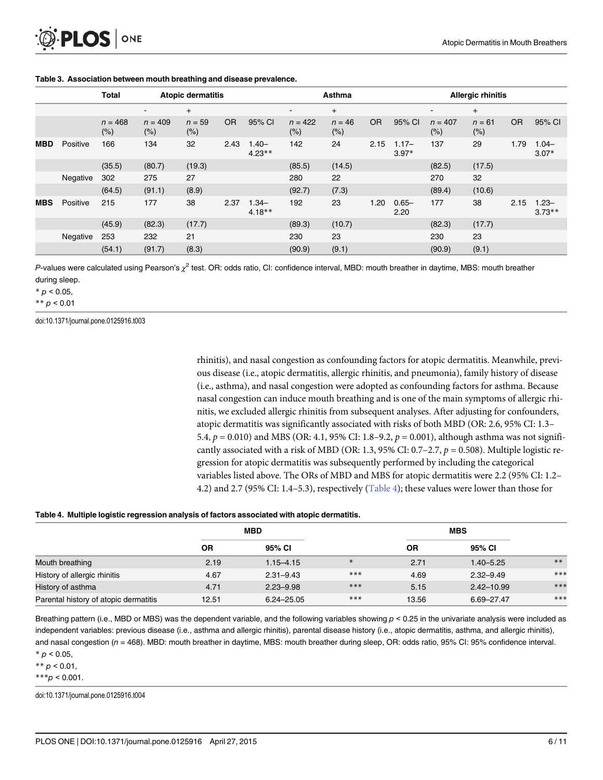<span id="page-5-0"></span>

|            |          | <b>Total</b>         | <b>Atopic dermatitis</b> |                    |           |                      | Asthma               |                    |           | <b>Allergic rhinitis</b> |                      |                    |           |                      |
|------------|----------|----------------------|--------------------------|--------------------|-----------|----------------------|----------------------|--------------------|-----------|--------------------------|----------------------|--------------------|-----------|----------------------|
|            |          |                      | <b>.</b>                 | $\ddot{}$          |           |                      | -                    | $\ddot{}$          |           |                          | ۰                    | $\ddot{}$          |           |                      |
|            |          | $n = 468$<br>$(\% )$ | $n = 409$<br>$(\% )$     | $n = 59$<br>$(\%)$ | <b>OR</b> | 95% CI               | $n = 422$<br>$(\% )$ | $n = 46$<br>$(\%)$ | <b>OR</b> | 95% CI                   | $n = 407$<br>$(\% )$ | $n = 61$<br>$(\%)$ | <b>OR</b> | 95% CI               |
| <b>MBD</b> | Positive | 166                  | 134                      | 32                 | 2.43      | $1.40 -$<br>$4.23**$ | 142                  | 24                 | 2.15      | $1.17 -$<br>$3.97*$      | 137                  | 29                 | 1.79      | $1.04 -$<br>$3.07*$  |
|            |          | (35.5)               | (80.7)                   | (19.3)             |           |                      | (85.5)               | (14.5)             |           |                          | (82.5)               | (17.5)             |           |                      |
|            | Negative | 302                  | 275                      | 27                 |           |                      | 280                  | 22                 |           |                          | 270                  | 32                 |           |                      |
|            |          | (64.5)               | (91.1)                   | (8.9)              |           |                      | (92.7)               | (7.3)              |           |                          | (89.4)               | (10.6)             |           |                      |
| <b>MBS</b> | Positive | 215                  | 177                      | 38                 | 2.37      | $1.34 -$<br>$4.18**$ | 192                  | 23                 | 1.20      | $0.65 -$<br>2.20         | 177                  | 38                 | 2.15      | $1.23 -$<br>$3.73**$ |
|            |          | (45.9)               | (82.3)                   | (17.7)             |           |                      | (89.3)               | (10.7)             |           |                          | (82.3)               | (17.7)             |           |                      |
|            | Negative | 253                  | 232                      | 21                 |           |                      | 230                  | 23                 |           |                          | 230                  | 23                 |           |                      |
|            |          | (54.1)               | (91.7)                   | (8.3)              |           |                      | (90.9)               | (9.1)              |           |                          | (90.9)               | (9.1)              |           |                      |

#### [Table 3.](#page-4-0) Association between mouth breathing and disease prevalence.

P-values were calculated using Pearson's  $\chi^2$  test. OR: odds ratio, CI: confidence interval, MBD: mouth breather in daytime, MBS: mouth breather during sleep.

 $* p < 0.05$ ,

\*\*  $p < 0.01$ 

doi:10.1371/journal.pone.0125916.t003

rhinitis), and nasal congestion as confounding factors for atopic dermatitis. Meanwhile, previous disease (i.e., atopic dermatitis, allergic rhinitis, and pneumonia), family history of disease (i.e., asthma), and nasal congestion were adopted as confounding factors for asthma. Because nasal congestion can induce mouth breathing and is one of the main symptoms of allergic rhinitis, we excluded allergic rhinitis from subsequent analyses. After adjusting for confounders, atopic dermatitis was significantly associated with risks of both MBD (OR: 2.6, 95% CI: 1.3– 5.4,  $p = 0.010$ ) and MBS (OR: 4.1, 95% CI: 1.8–9.2,  $p = 0.001$ ), although asthma was not significantly associated with a risk of MBD (OR: 1.3, 95% CI: 0.7–2.7,  $p = 0.508$ ). Multiple logistic regression for atopic dermatitis was subsequently performed by including the categorical variables listed above. The ORs of MBD and MBS for atopic dermatitis were 2.2 (95% CI: 1.2– 4.2) and 2.7 (95% CI: 1.4–5.3), respectively ( $Table 4$ ); these values were lower than those for

#### Table 4. Multiple logistic regression analysis of factors associated with atopic dermatitis.

|                                       |           | <b>MBD</b>     |        |           |                |       |
|---------------------------------------|-----------|----------------|--------|-----------|----------------|-------|
|                                       | <b>OR</b> | 95% CI         |        | <b>OR</b> | 95% CI         |       |
| Mouth breathing                       | 2.19      | $1.15 - 4.15$  | $\ast$ | 2.71      | $1.40 - 5.25$  | $***$ |
| History of allergic rhinitis          | 4.67      | $2.31 - 9.43$  | $***$  | 4.69      | $2.32 - 9.49$  | $***$ |
| History of asthma                     | 4.71      | $2.23 - 9.98$  | $***$  | 5.15      | $2.42 - 10.99$ | $***$ |
| Parental history of atopic dermatitis | 12.51     | $6.24 - 25.05$ | $***$  | 13.56     | 6.69-27.47     | ***   |

Breathing pattern (i.e., MBD or MBS) was the dependent variable, and the following variables showing  $p < 0.25$  in the univariate analysis were included as independent variables: previous disease (i.e., asthma and allergic rhinitis), parental disease history (i.e., atopic dermatitis, asthma, and allergic rhinitis), and nasal congestion (n = 468). MBD: mouth breather in daytime, MBS: mouth breather during sleep, OR: odds ratio, 95% CI: 95% confidence interval.  $*$   $p < 0.05$ ,

\*\*  $p < 0.01$ ,

\*\*\* $p$  < 0.001.

doi:10.1371/journal.pone.0125916.t004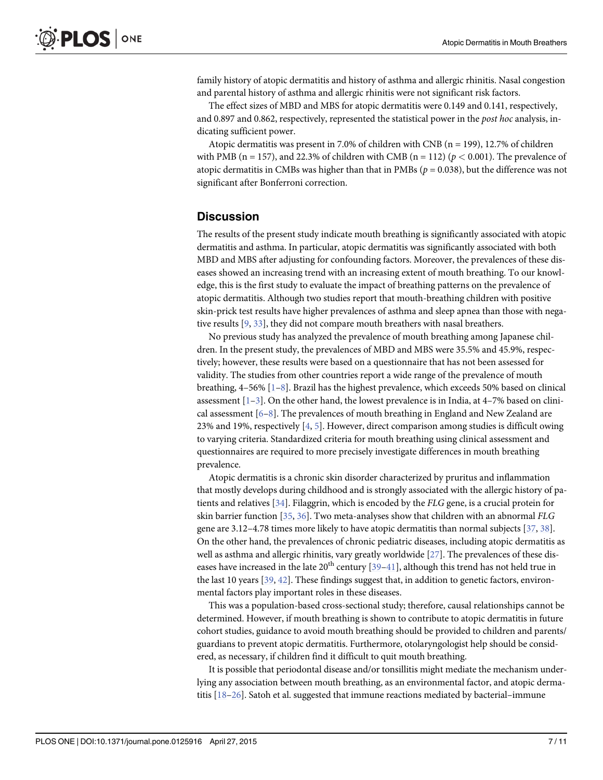<span id="page-6-0"></span>family history of atopic dermatitis and history of asthma and allergic rhinitis. Nasal congestion and parental history of asthma and allergic rhinitis were not significant risk factors.

The effect sizes of MBD and MBS for atopic dermatitis were 0.149 and 0.141, respectively, and 0.897 and 0.862, respectively, represented the statistical power in the post hoc analysis, indicating sufficient power.

Atopic dermatitis was present in 7.0% of children with CNB ( $n = 199$ ), 12.7% of children with PMB (n = 157), and 22.3% of children with CMB (n = 112) ( $p < 0.001$ ). The prevalence of atopic dermatitis in CMBs was higher than that in PMBs ( $p = 0.038$ ), but the difference was not significant after Bonferroni correction.

## **Discussion**

The results of the present study indicate mouth breathing is significantly associated with atopic dermatitis and asthma. In particular, atopic dermatitis was significantly associated with both MBD and MBS after adjusting for confounding factors. Moreover, the prevalences of these diseases showed an increasing trend with an increasing extent of mouth breathing. To our knowledge, this is the first study to evaluate the impact of breathing patterns on the prevalence of atopic dermatitis. Although two studies report that mouth-breathing children with positive skin-prick test results have higher prevalences of asthma and sleep apnea than those with negative results [\[9,](#page-8-0) [33\]](#page-9-0), they did not compare mouth breathers with nasal breathers.

No previous study has analyzed the prevalence of mouth breathing among Japanese children. In the present study, the prevalences of MBD and MBS were 35.5% and 45.9%, respectively; however, these results were based on a questionnaire that has not been assessed for validity. The studies from other countries report a wide range of the prevalence of mouth breathing,  $4-56\%$  [ $1-8$ ]. Brazil has the highest prevalence, which exceeds 50% based on clinical assessment  $[1-3]$  $[1-3]$  $[1-3]$  $[1-3]$  $[1-3]$ . On the other hand, the lowest prevalence is in India, at 4–7% based on clinical assessment  $[6–8]$  $[6–8]$  $[6–8]$  $[6–8]$ . The prevalences of mouth breathing in England and New Zealand are 23% and 19%, respectively  $[4, 5]$  $[4, 5]$  $[4, 5]$  $[4, 5]$ . However, direct comparison among studies is difficult owing to varying criteria. Standardized criteria for mouth breathing using clinical assessment and questionnaires are required to more precisely investigate differences in mouth breathing prevalence.

Atopic dermatitis is a chronic skin disorder characterized by pruritus and inflammation that mostly develops during childhood and is strongly associated with the allergic history of patients and relatives  $[34]$  $[34]$  $[34]$ . Filaggrin, which is encoded by the FLG gene, is a crucial protein for skin barrier function  $[35, 36]$  $[35, 36]$  $[35, 36]$  $[35, 36]$ . Two meta-analyses show that children with an abnormal FLG gene are 3.12–4.78 times more likely to have atopic dermatitis than normal subjects [[37](#page-9-0), [38](#page-9-0)]. On the other hand, the prevalences of chronic pediatric diseases, including atopic dermatitis as well as asthma and allergic rhinitis, vary greatly worldwide [[27](#page-9-0)]. The prevalences of these diseases have increased in the late  $20^{th}$  century [[39](#page-9-0)–[41\]](#page-9-0), although this trend has not held true in the last 10 years  $[39, 42]$  $[39, 42]$  $[39, 42]$ . These findings suggest that, in addition to genetic factors, environmental factors play important roles in these diseases.

This was a population-based cross-sectional study; therefore, causal relationships cannot be determined. However, if mouth breathing is shown to contribute to atopic dermatitis in future cohort studies, guidance to avoid mouth breathing should be provided to children and parents/ guardians to prevent atopic dermatitis. Furthermore, otolaryngologist help should be considered, as necessary, if children find it difficult to quit mouth breathing.

It is possible that periodontal disease and/or tonsillitis might mediate the mechanism underlying any association between mouth breathing, as an environmental factor, and atopic dermatitis  $[18-26]$  $[18-26]$  $[18-26]$  $[18-26]$ . Satoh et al. suggested that immune reactions mediated by bacterial–immune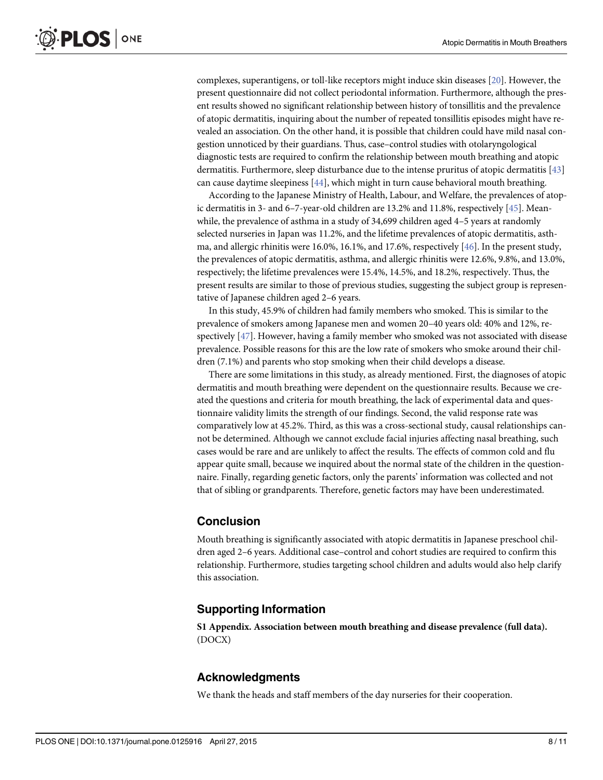<span id="page-7-0"></span>complexes, superantigens, or toll-like receptors might induce skin diseases [\[20\]](#page-8-0). However, the present questionnaire did not collect periodontal information. Furthermore, although the present results showed no significant relationship between history of tonsillitis and the prevalence of atopic dermatitis, inquiring about the number of repeated tonsillitis episodes might have revealed an association. On the other hand, it is possible that children could have mild nasal congestion unnoticed by their guardians. Thus, case–control studies with otolaryngological diagnostic tests are required to confirm the relationship between mouth breathing and atopic dermatitis. Furthermore, sleep disturbance due to the intense pruritus of atopic dermatitis [[43](#page-10-0)] can cause daytime sleepiness [\[44\]](#page-10-0), which might in turn cause behavioral mouth breathing.

According to the Japanese Ministry of Health, Labour, and Welfare, the prevalences of atopic dermatitis in 3- and 6–7-year-old children are 13.2% and 11.8%, respectively [[45](#page-10-0)]. Meanwhile, the prevalence of asthma in a study of 34,699 children aged 4–5 years at randomly selected nurseries in Japan was 11.2%, and the lifetime prevalences of atopic dermatitis, asthma, and allergic rhinitis were 16.0%, 16.1%, and 17.6%, respectively [[46](#page-10-0)]. In the present study, the prevalences of atopic dermatitis, asthma, and allergic rhinitis were 12.6%, 9.8%, and 13.0%, respectively; the lifetime prevalences were 15.4%, 14.5%, and 18.2%, respectively. Thus, the present results are similar to those of previous studies, suggesting the subject group is representative of Japanese children aged 2–6 years.

In this study, 45.9% of children had family members who smoked. This is similar to the prevalence of smokers among Japanese men and women 20–40 years old: 40% and 12%, respectively [\[47\]](#page-10-0). However, having a family member who smoked was not associated with disease prevalence. Possible reasons for this are the low rate of smokers who smoke around their children (7.1%) and parents who stop smoking when their child develops a disease.

There are some limitations in this study, as already mentioned. First, the diagnoses of atopic dermatitis and mouth breathing were dependent on the questionnaire results. Because we created the questions and criteria for mouth breathing, the lack of experimental data and questionnaire validity limits the strength of our findings. Second, the valid response rate was comparatively low at 45.2%. Third, as this was a cross-sectional study, causal relationships cannot be determined. Although we cannot exclude facial injuries affecting nasal breathing, such cases would be rare and are unlikely to affect the results. The effects of common cold and flu appear quite small, because we inquired about the normal state of the children in the questionnaire. Finally, regarding genetic factors, only the parents' information was collected and not that of sibling or grandparents. Therefore, genetic factors may have been underestimated.

## Conclusion

Mouth breathing is significantly associated with atopic dermatitis in Japanese preschool children aged 2–6 years. Additional case–control and cohort studies are required to confirm this relationship. Furthermore, studies targeting school children and adults would also help clarify this association.

## Supporting Information

[S1 Appendix.](http://www.plosone.org/article/fetchSingleRepresentation.action?uri=info:doi/10.1371/journal.pone.0125916.s001) Association between mouth breathing and disease prevalence (full data). (DOCX)

## Acknowledgments

We thank the heads and staff members of the day nurseries for their cooperation.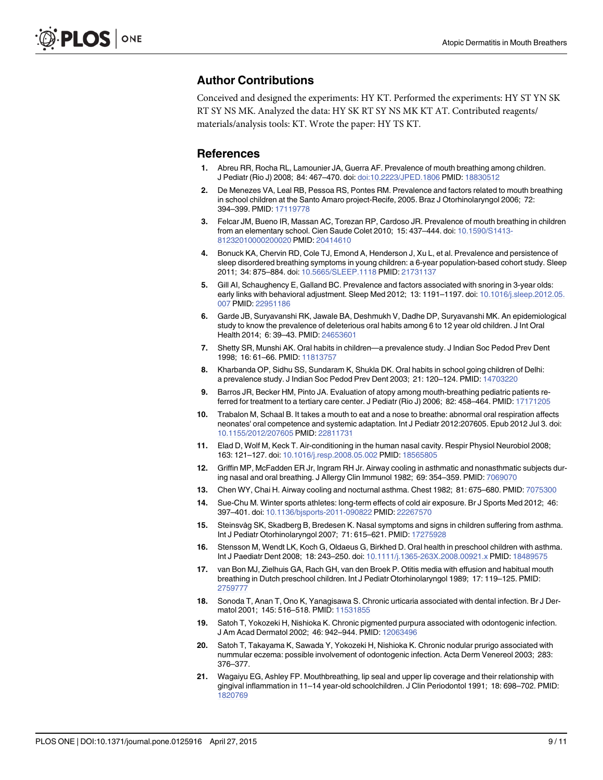## <span id="page-8-0"></span>Author Contributions

Conceived and designed the experiments: HY KT. Performed the experiments: HY ST YN SK RT SY NS MK. Analyzed the data: HY SK RT SY NS MK KT AT. Contributed reagents/ materials/analysis tools: KT. Wrote the paper: HY TS KT.

### References

- [1.](#page-1-0) Abreu RR, Rocha RL, Lamounier JA, Guerra AF. Prevalence of mouth breathing among children. J Pediatr (Rio J) 2008; 84: 467–470. doi: [doi:10.2223/JPED.1806](http://dx.doi.org/doi:10.2223/JPED.1806) PMID: [18830512](http://www.ncbi.nlm.nih.gov/pubmed/18830512)
- 2. De Menezes VA, Leal RB, Pessoa RS, Pontes RM. Prevalence and factors related to mouth breathing in school children at the Santo Amaro project-Recife, 2005. Braz J Otorhinolaryngol 2006; 72: 394–399. PMID: [17119778](http://www.ncbi.nlm.nih.gov/pubmed/17119778)
- [3.](#page-6-0) Felcar JM, Bueno IR, Massan AC, Torezan RP, Cardoso JR. Prevalence of mouth breathing in children from an elementary school. Cien Saude Colet 2010; 15: 437–444. doi: [10.1590/S1413-](http://dx.doi.org/10.1590/S1413-81232010000200020) [81232010000200020](http://dx.doi.org/10.1590/S1413-81232010000200020) PMID: [20414610](http://www.ncbi.nlm.nih.gov/pubmed/20414610)
- [4.](#page-6-0) Bonuck KA, Chervin RD, Cole TJ, Emond A, Henderson J, Xu L, et al. Prevalence and persistence of sleep disordered breathing symptoms in young children: a 6-year population-based cohort study. Sleep 2011; 34: 875–884. doi: [10.5665/SLEEP.1118](http://dx.doi.org/10.5665/SLEEP.1118) PMID: [21731137](http://www.ncbi.nlm.nih.gov/pubmed/21731137)
- [5.](#page-2-0) Gill AI, Schaughency E, Galland BC. Prevalence and factors associated with snoring in 3-year olds: early links with behavioral adjustment. Sleep Med 2012; 13: 1191–1197. doi: [10.1016/j.sleep.2012.05.](http://dx.doi.org/10.1016/j.sleep.2012.05.007) [007](http://dx.doi.org/10.1016/j.sleep.2012.05.007) PMID: [22951186](http://www.ncbi.nlm.nih.gov/pubmed/22951186)
- [6.](#page-6-0) Garde JB, Suryavanshi RK, Jawale BA, Deshmukh V, Dadhe DP, Suryavanshi MK. An epidemiological study to know the prevalence of deleterious oral habits among 6 to 12 year old children. J Int Oral Health 2014; 6: 39–43. PMID: [24653601](http://www.ncbi.nlm.nih.gov/pubmed/24653601)
- 7. Shetty SR, Munshi AK. Oral habits in children—a prevalence study. J Indian Soc Pedod Prev Dent 1998; 16: 61–66. PMID: [11813757](http://www.ncbi.nlm.nih.gov/pubmed/11813757)
- [8.](#page-1-0) Kharbanda OP, Sidhu SS, Sundaram K, Shukla DK. Oral habits in school going children of Delhi: a prevalence study. J Indian Soc Pedod Prev Dent 2003; 21: 120–124. PMID: [14703220](http://www.ncbi.nlm.nih.gov/pubmed/14703220)
- [9.](#page-1-0) Barros JR, Becker HM, Pinto JA. Evaluation of atopy among mouth-breathing pediatric patients referred for treatment to a tertiary care center. J Pediatr (Rio J) 2006; 82: 458–464. PMID: [17171205](http://www.ncbi.nlm.nih.gov/pubmed/17171205)
- [10.](#page-1-0) Trabalon M, Schaal B. It takes a mouth to eat and a nose to breathe: abnormal oral respiration affects neonates' oral competence and systemic adaptation. Int J Pediatr 2012:207605. Epub 2012 Jul 3. doi: [10.1155/2012/207605](http://dx.doi.org/10.1155/2012/207605) PMID: [22811731](http://www.ncbi.nlm.nih.gov/pubmed/22811731)
- [11.](#page-1-0) Elad D, Wolf M, Keck T. Air-conditioning in the human nasal cavity. Respir Physiol Neurobiol 2008; 163: 121–127. doi: [10.1016/j.resp.2008.05.002](http://dx.doi.org/10.1016/j.resp.2008.05.002) PMID: [18565805](http://www.ncbi.nlm.nih.gov/pubmed/18565805)
- [12.](#page-1-0) Griffin MP, McFadden ER Jr, Ingram RH Jr. Airway cooling in asthmatic and nonasthmatic subjects during nasal and oral breathing. J Allergy Clin Immunol 1982; 69: 354–359. PMID: [7069070](http://www.ncbi.nlm.nih.gov/pubmed/7069070)
- 13. Chen WY, Chai H. Airway cooling and nocturnal asthma. Chest 1982; 81: 675–680. PMID: [7075300](http://www.ncbi.nlm.nih.gov/pubmed/7075300)
- [14.](#page-1-0) Sue-Chu M. Winter sports athletes: long-term effects of cold air exposure. Br J Sports Med 2012; 46: 397–401. doi: [10.1136/bjsports-2011-090822](http://dx.doi.org/10.1136/bjsports-2011-090822) PMID: [22267570](http://www.ncbi.nlm.nih.gov/pubmed/22267570)
- [15.](#page-1-0) Steinsvåg SK, Skadberg B, Bredesen K. Nasal symptoms and signs in children suffering from asthma. Int J Pediatr Otorhinolaryngol 2007; 71: 615–621. PMID: [17275928](http://www.ncbi.nlm.nih.gov/pubmed/17275928)
- [16.](#page-1-0) Stensson M, Wendt LK, Koch G, Oldaeus G, Birkhed D. Oral health in preschool children with asthma. Int J Paediatr Dent 2008; 18: 243–250. doi: [10.1111/j.1365-263X.2008.00921.x](http://dx.doi.org/10.1111/j.1365-263X.2008.00921.x) PMID: [18489575](http://www.ncbi.nlm.nih.gov/pubmed/18489575)
- [17.](#page-1-0) van Bon MJ, Zielhuis GA, Rach GH, van den Broek P. Otitis media with effusion and habitual mouth breathing in Dutch preschool children. Int J Pediatr Otorhinolaryngol 1989; 17: 119–125. PMID: [2759777](http://www.ncbi.nlm.nih.gov/pubmed/2759777)
- [18.](#page-1-0) Sonoda T, Anan T, Ono K, Yanagisawa S. Chronic urticaria associated with dental infection. Br J Dermatol 2001; 145: 516–518. PMID: [11531855](http://www.ncbi.nlm.nih.gov/pubmed/11531855)
- [19.](#page-1-0) Satoh T, Yokozeki H, Nishioka K. Chronic pigmented purpura associated with odontogenic infection. J Am Acad Dermatol 2002; 46: 942–944. PMID: [12063496](http://www.ncbi.nlm.nih.gov/pubmed/12063496)
- [20.](#page-1-0) Satoh T, Takayama K, Sawada Y, Yokozeki H, Nishioka K. Chronic nodular prurigo associated with nummular eczema: possible involvement of odontogenic infection. Acta Derm Venereol 2003; 283: 376–377.
- [21.](#page-1-0) Wagaiyu EG, Ashley FP. Mouthbreathing, lip seal and upper lip coverage and their relationship with gingival inflammation in 11–14 year-old schoolchildren. J Clin Periodontol 1991; 18: 698–702. PMID: [1820769](http://www.ncbi.nlm.nih.gov/pubmed/1820769)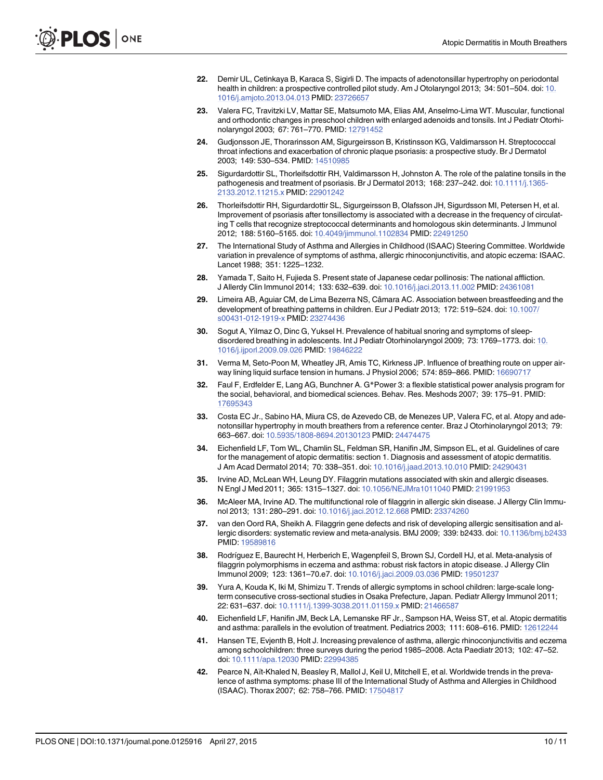- <span id="page-9-0"></span>[22.](#page-1-0) Demir UL, Cetinkaya B, Karaca S, Sigirli D. The impacts of adenotonsillar hypertrophy on periodontal health in children: a prospective controlled pilot study. Am J Otolaryngol 2013; 34: 501–504. doi: [10.](http://dx.doi.org/10.1016/j.amjoto.2013.04.013) [1016/j.amjoto.2013.04.013](http://dx.doi.org/10.1016/j.amjoto.2013.04.013) PMID: [23726657](http://www.ncbi.nlm.nih.gov/pubmed/23726657)
- [23.](#page-1-0) Valera FC, Travitzki LV, Mattar SE, Matsumoto MA, Elias AM, Anselmo-Lima WT. Muscular, functional and orthodontic changes in preschool children with enlarged adenoids and tonsils. Int J Pediatr Otorhinolaryngol 2003; 67: 761–770. PMID: [12791452](http://www.ncbi.nlm.nih.gov/pubmed/12791452)
- [24.](#page-1-0) Gudjonsson JE, Thorarinsson AM, Sigurgeirsson B, Kristinsson KG, Valdimarsson H. Streptococcal throat infections and exacerbation of chronic plaque psoriasis: a prospective study. Br J Dermatol 2003; 149: 530–534. PMID: [14510985](http://www.ncbi.nlm.nih.gov/pubmed/14510985)
- [25.](#page-1-0) Sigurdardottir SL, Thorleifsdottir RH, Valdimarsson H, Johnston A. The role of the palatine tonsils in the pathogenesis and treatment of psoriasis. Br J Dermatol 2013; 168: 237-242. doi: [10.1111/j.1365-](http://dx.doi.org/10.1111/j.1365-2133.2012.11215.x) [2133.2012.11215.x](http://dx.doi.org/10.1111/j.1365-2133.2012.11215.x) PMID: [22901242](http://www.ncbi.nlm.nih.gov/pubmed/22901242)
- [26.](#page-1-0) Thorleifsdottir RH, Sigurdardottir SL, Sigurgeirsson B, Olafsson JH, Sigurdsson MI, Petersen H, et al. Improvement of psoriasis after tonsillectomy is associated with a decrease in the frequency of circulating T cells that recognize streptococcal determinants and homologous skin determinants. J Immunol 2012; 188: 5160–5165. doi: [10.4049/jimmunol.1102834](http://dx.doi.org/10.4049/jimmunol.1102834) PMID: [22491250](http://www.ncbi.nlm.nih.gov/pubmed/22491250)
- [27.](#page-1-0) The International Study of Asthma and Allergies in Childhood (ISAAC) Steering Committee. Worldwide variation in prevalence of symptoms of asthma, allergic rhinoconjunctivitis, and atopic eczema: ISAAC. Lancet 1988; 351: 1225–1232.
- [28.](#page-2-0) Yamada T, Saito H, Fujieda S. Present state of Japanese cedar pollinosis: The national affliction. J Allerdy Clin Immunol 2014; 133: 632–639. doi: [10.1016/j.jaci.2013.11.002](http://dx.doi.org/10.1016/j.jaci.2013.11.002) PMID: [24361081](http://www.ncbi.nlm.nih.gov/pubmed/24361081)
- [29.](#page-2-0) Limeira AB, Aguiar CM, de Lima Bezerra NS, Câmara AC. Association between breastfeeding and the development of breathing patterns in children. Eur J Pediatr 2013; 172: 519–524. doi: [10.1007/](http://dx.doi.org/10.1007/s00431-012-1919-x) [s00431-012-1919-x](http://dx.doi.org/10.1007/s00431-012-1919-x) PMID: [23274436](http://www.ncbi.nlm.nih.gov/pubmed/23274436)
- [30.](#page-2-0) Sogut A, Yilmaz O, Dinc G, Yuksel H. Prevalence of habitual snoring and symptoms of sleepdisordered breathing in adolescents. Int J Pediatr Otorhinolaryngol 2009; 73: 1769–1773. doi: [10.](http://dx.doi.org/10.1016/j.ijporl.2009.09.026) [1016/j.ijporl.2009.09.026](http://dx.doi.org/10.1016/j.ijporl.2009.09.026) PMID: [19846222](http://www.ncbi.nlm.nih.gov/pubmed/19846222)
- [31.](#page-2-0) Verma M, Seto-Poon M, Wheatley JR, Amis TC, Kirkness JP. Influence of breathing route on upper airway lining liquid surface tension in humans. J Physiol 2006; 574: 859–866. PMID: [16690717](http://www.ncbi.nlm.nih.gov/pubmed/16690717)
- [32.](#page-3-0) Faul F, Erdfelder E, Lang AG, Bunchner A. G\*Power 3: a flexible statistical power analysis program for the social, behavioral, and biomedical sciences. Behav. Res. Meshods 2007; 39: 175–91. PMID: [17695343](http://www.ncbi.nlm.nih.gov/pubmed/17695343)
- [33.](#page-6-0) Costa EC Jr., Sabino HA, Miura CS, de Azevedo CB, de Menezes UP, Valera FC, et al. Atopy and adenotonsillar hypertrophy in mouth breathers from a reference center. Braz J Otorhinolaryngol 2013; 79: 663–667. doi: [10.5935/1808-8694.20130123](http://dx.doi.org/10.5935/1808-8694.20130123) PMID: [24474475](http://www.ncbi.nlm.nih.gov/pubmed/24474475)
- [34.](#page-6-0) Eichenfield LF, Tom WL, Chamlin SL, Feldman SR, Hanifin JM, Simpson EL, et al. Guidelines of care for the management of atopic dermatitis: section 1. Diagnosis and assessment of atopic dermatitis. J Am Acad Dermatol 2014; 70: 338–351. doi: [10.1016/j.jaad.2013.10.010](http://dx.doi.org/10.1016/j.jaad.2013.10.010) PMID: [24290431](http://www.ncbi.nlm.nih.gov/pubmed/24290431)
- [35.](#page-6-0) Irvine AD, McLean WH, Leung DY. Filaggrin mutations associated with skin and allergic diseases. N Engl J Med 2011; 365: 1315–1327. doi: [10.1056/NEJMra1011040](http://dx.doi.org/10.1056/NEJMra1011040) PMID: [21991953](http://www.ncbi.nlm.nih.gov/pubmed/21991953)
- [36.](#page-6-0) McAleer MA, Irvine AD. The multifunctional role of filaggrin in allergic skin disease. J Allergy Clin Immunol 2013; 131: 280–291. doi: [10.1016/j.jaci.2012.12.668](http://dx.doi.org/10.1016/j.jaci.2012.12.668) PMID: [23374260](http://www.ncbi.nlm.nih.gov/pubmed/23374260)
- [37.](#page-6-0) van den Oord RA, Sheikh A. Filaggrin gene defects and risk of developing allergic sensitisation and allergic disorders: systematic review and meta-analysis. BMJ 2009; 339: b2433. doi: [10.1136/bmj.b2433](http://dx.doi.org/10.1136/bmj.b2433) PMID: [19589816](http://www.ncbi.nlm.nih.gov/pubmed/19589816)
- [38.](#page-6-0) Rodríguez E, Baurecht H, Herberich E, Wagenpfeil S, Brown SJ, Cordell HJ, et al. Meta-analysis of filaggrin polymorphisms in eczema and asthma: robust risk factors in atopic disease. J Allergy Clin Immunol 2009; 123: 1361–70.e7. doi: [10.1016/j.jaci.2009.03.036](http://dx.doi.org/10.1016/j.jaci.2009.03.036) PMID: [19501237](http://www.ncbi.nlm.nih.gov/pubmed/19501237)
- [39.](#page-6-0) Yura A, Kouda K, Iki M, Shimizu T. Trends of allergic symptoms in school children: large-scale longterm consecutive cross-sectional studies in Osaka Prefecture, Japan. Pediatr Allergy Immunol 2011; 22: 631–637. doi: [10.1111/j.1399-3038.2011.01159.x](http://dx.doi.org/10.1111/j.1399-3038.2011.01159.x) PMID: [21466587](http://www.ncbi.nlm.nih.gov/pubmed/21466587)
- 40. Eichenfield LF, Hanifin JM, Beck LA, Lemanske RF Jr., Sampson HA, Weiss ST, et al. Atopic dermatitis and asthma: parallels in the evolution of treatment. Pediatrics 2003; 111: 608–616. PMID: [12612244](http://www.ncbi.nlm.nih.gov/pubmed/12612244)
- [41.](#page-6-0) Hansen TE, Evjenth B, Holt J. Increasing prevalence of asthma, allergic rhinoconjunctivitis and eczema among schoolchildren: three surveys during the period 1985–2008. Acta Paediatr 2013; 102: 47–52. doi: [10.1111/apa.12030](http://dx.doi.org/10.1111/apa.12030) PMID: [22994385](http://www.ncbi.nlm.nih.gov/pubmed/22994385)
- [42.](#page-6-0) Pearce N, Aït-Khaled N, Beasley R, Mallol J, Keil U, Mitchell E, et al. Worldwide trends in the prevalence of asthma symptoms: phase III of the International Study of Asthma and Allergies in Childhood (ISAAC). Thorax 2007; 62: 758–766. PMID: [17504817](http://www.ncbi.nlm.nih.gov/pubmed/17504817)